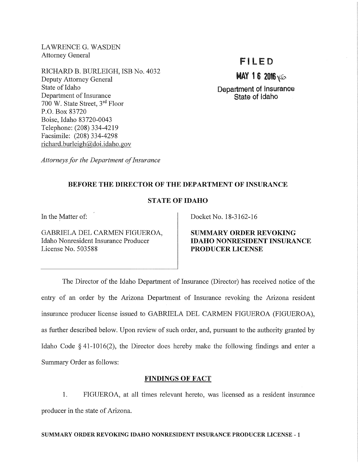LAWRENCE G. WASDEN Attorney General

RICHARD B. BURLEIGH, ISB No. 4032 Deputy Attorney General State of Idaho Department of Insurance 700 W. State Street, 3rd Floor P.O. Box 83720 Boise, Idaho 83720-0043 Telephone: (208) 334-4219 Facsimile: (208) 334-4298 richard. burleigh@doi.idaho.gov

# Fl LED

**MAY 16 2016**  $\sqrt{0}$ .

Department of Insurance State of Idaho

*Attorneys for the Department of Insurance* 

# BEFORE THE DIRECTOR OF THE DEPARTMENT OF INSURANCE

# STATE OF IDAHO

In the Matter of:

GABRIELA DEL CARMEN FIGUEROA, Idaho Nonresident Insurance Producer License No. 503588

Docket No. 18-3162-16

SUMMARY ORDER REVOKING IDAHO NONRESIDENT INSURANCE PRODUCER LICENSE

The Director of the Idaho Department of Insurance (Director) has received notice of the entry of an order by the Arizona Department of Insurance revoking the Arizona resident insurance producer license issued to GABRIELA DEL CARMEN FIGUEROA (FIGUEROA), as further described below. Upon review of such order, and, pursuant to the authority granted by Idaho Code § 41-1016(2), the Director does hereby make the following findings and enter a Summary Order as follows:

## FINDINGS OF FACT

1. FIGUEROA, at all times relevant hereto, was licensed as a resident insurance producer in the state of Arizona.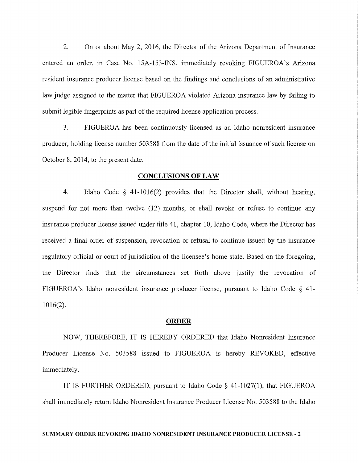2. On or about May 2, 2016, the Director of the Arizona Department of Insurance entered an order, in Case No. 15A-153-INS, immediately revoking FIGUEROA's Arizona resident insurance producer license based on the findings and conclusions of an administrative law judge assigned to the matter that FIGUEROA violated Arizona insurance law by failing to submit legible fingerprints as part of the required license application process.

3. FIGUEROA has been continuously licensed as an Idaho nomesident insurance producer, holding license number 503588 from the date of the initial issuance of such license on October 8, 2014, to the present date.

#### **CONCLUSIONS OF LAW**

4. Idaho Code § 41-1016(2) provides that the Director shall, without hearing, suspend for not more than twelve (12) months, or shall revoke or refuse to continue any insurance producer license issued under title **41,** chapter 10, Idaho Code, where the Director has received a final order of suspension, revocation or refusal to continue issued by the insurance regulatory official or court of jurisdiction of the licensee's home state. Based on the foregoing, the Director finds that the circumstances set forth above justify the revocation of FIGUEROA's Idaho nonresident insurance producer license, pursuant to Idaho Code § 41- 1016(2).

#### **ORDER**

NOW, THEREFORE, IT IS HEREBY ORDERED that Idaho Nonresident Insurance Producer License No. 503588 issued to FIGUEROA is hereby REVOKED, effective immediately.

IT IS FURTHER ORDERED, pursuant to Idaho Code § 41-1027(1), that FIGUEROA shall immediately return Idaho Nonresident Insurance Producer License No. 503588 to the Idaho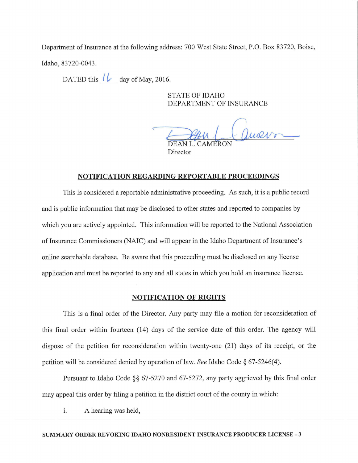Department of Insurance at the following address: 700 West State Street, P.O. Box 83720, Boise, Idaho, 83720-0043.

DATED this  $\iota$  day of May, 2016.

STATE OF IDAHO DEPARTMENT OF INSURANCE

DEAN CTMENT OF INSURANCE

Director

## NOTIFICATION REGARDING REPORTABLE PROCEEDINGS

This is considered a reportable administrative proceeding. As such, it is a public record and is public information that may be disclosed to other states and reported to companies by which you are actively appointed. This information will be reported to the National Association of Insurance Commissioners (NAIC) and will appear in the Idaho Department of Insurance's online searchable database. Be aware that this proceeding must be disclosed on any license application and must be reported to any and all states in which you hold an insurance license.

## NOTIFICATION OF RIGHTS

This is a final order of the Director. Any party may file a motion for reconsideration of this final order within fourteen (14) days of the service date of this order. The agency will dispose of the petition for reconsideration within twenty-one (21) days of its receipt, or the petition will be considered denied by operation of law. *See* Idaho Code § 67-5246(4).

Pursuant to Idaho Code §§ 67-5270 and 67-5272, any party aggrieved by this final order may appeal this order by filing a petition in the district court of the county in which:

i. A hearing was held,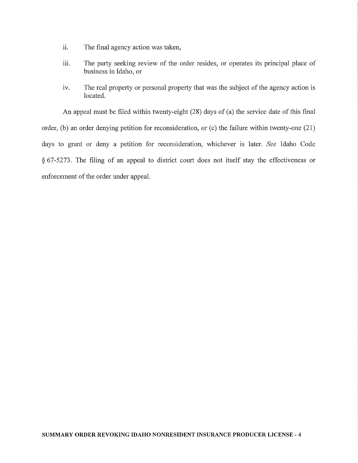- ii. The final agency action was taken,
- iii. The party seeking review of the order resides, or operates its principal place of business in Idaho, or
- iv. The real property or personal property that was the subject of the agency action is located.

An appeal must be filed within twenty-eight (28) days of (a) the service date of this final order, (b) an order denying petition for reconsideration, or (c) the failure within twenty-one  $(21)$ days to grant or deny a petition for reconsideration, whichever is later. *See* Idaho Code  $§ 67-5273$ . The filing of an appeal to district court does not itself stay the effectiveness or enforcement of the order under appeal.